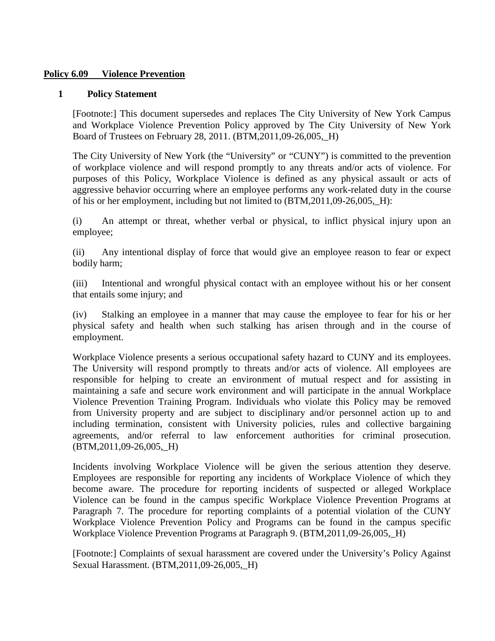## **Policy 6.09 Violence Prevention**

## **1 Policy Statement**

[Footnote:] This document supersedes and replaces The City University of New York Campus and Workplace Violence Prevention Policy approved by The City University of New York Board of Trustees on February 28, 2011. (BTM,2011,09-26,005,\_H)

The City University of New York (the "University" or "CUNY") is committed to the prevention of workplace violence and will respond promptly to any threats and/or acts of violence. For purposes of this Policy, Workplace Violence is defined as any physical assault or acts of aggressive behavior occurring where an employee performs any work-related duty in the course of his or her employment, including but not limited to (BTM,2011,09-26,005,\_H):

(i) An attempt or threat, whether verbal or physical, to inflict physical injury upon an employee;

(ii) Any intentional display of force that would give an employee reason to fear or expect bodily harm;

(iii) Intentional and wrongful physical contact with an employee without his or her consent that entails some injury; and

(iv) Stalking an employee in a manner that may cause the employee to fear for his or her physical safety and health when such stalking has arisen through and in the course of employment.

Workplace Violence presents a serious occupational safety hazard to CUNY and its employees. The University will respond promptly to threats and/or acts of violence. All employees are responsible for helping to create an environment of mutual respect and for assisting in maintaining a safe and secure work environment and will participate in the annual Workplace Violence Prevention Training Program. Individuals who violate this Policy may be removed from University property and are subject to disciplinary and/or personnel action up to and including termination, consistent with University policies, rules and collective bargaining agreements, and/or referral to law enforcement authorities for criminal prosecution. (BTM,2011,09-26,005,\_H)

Incidents involving Workplace Violence will be given the serious attention they deserve. Employees are responsible for reporting any incidents of Workplace Violence of which they become aware. The procedure for reporting incidents of suspected or alleged Workplace Violence can be found in the campus specific Workplace Violence Prevention Programs at Paragraph 7. The procedure for reporting complaints of a potential violation of the CUNY Workplace Violence Prevention Policy and Programs can be found in the campus specific Workplace Violence Prevention Programs at Paragraph 9. (BTM,2011,09-26,005,\_H)

[Footnote:] Complaints of sexual harassment are covered under the University's Policy Against Sexual Harassment. (BTM,2011,09-26,005,\_H)